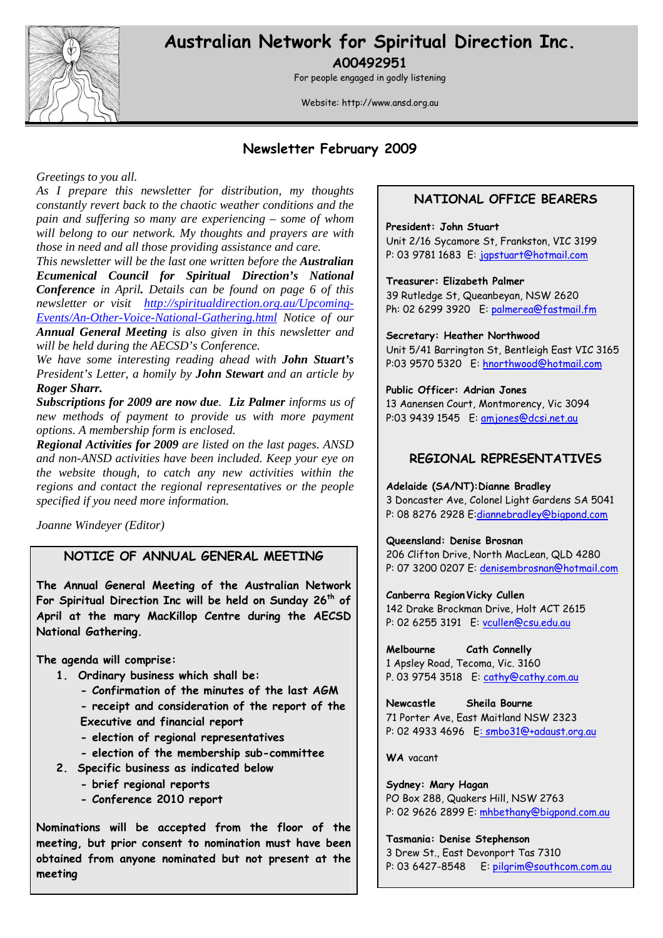

# **Australian Network for Spiritual Direction Inc.**

**A00492951** 

For people engaged in godly listening

Website: http://www.ansd.org.au

## **Newsletter February 2009**

#### *Greetings to you all.*

*As I prepare this newsletter for distribution, my thoughts constantly revert back to the chaotic weather conditions and the pain and suffering so many are experiencing – some of whom will belong to our network. My thoughts and prayers are with those in need and all those providing assistance and care.* 

*This newsletter will be the last one written before the Australian Ecumenical Council for Spiritual Direction's National Conference in April. Details can be found on page 6 of this newsletter or visit http://spiritualdirection.org.au/Upcoming-Events/An-Other-Voice-National-Gathering.html Notice of our Annual General Meeting is also given in this newsletter and will be held during the AECSD's Conference.* 

*We have some interesting reading ahead with John Stuart's President's Letter, a homily by John Stewart and an article by Roger Sharr.* 

*Subscriptions for 2009 are now due. Liz Palmer informs us of new methods of payment to provide us with more payment options. A membership form is enclosed.* 

*Regional Activities for 2009 are listed on the last pages. ANSD and non-ANSD activities have been included. Keep your eye on the website though, to catch any new activities within the regions and contact the regional representatives or the people specified if you need more information.* 

*Joanne Windeyer (Editor)* 

## **NOTICE OF ANNUAL GENERAL MEETING**

**The Annual General Meeting of the Australian Network For Spiritual Direction Inc will be held on Sunday 26th of April at the mary MacKillop Centre during the AECSD National Gathering.** 

**The agenda will comprise:** 

- **1. Ordinary business which shall be:** 
	- **Confirmation of the minutes of the last AGM**
	- **receipt and consideration of the report of the**
	- **Executive and financial report**
	- **election of regional representatives**
	- **election of the membership sub-committee**
- **2. Specific business as indicated below** 
	- **brief regional reports**
	- **Conference 2010 report**

**Nominations will be accepted from the floor of the meeting, but prior consent to nomination must have been obtained from anyone nominated but not present at the meeting** 

#### **NATIONAL OFFICE BEARERS**

#### **President: John Stuart**

Unit 2/16 Sycamore St, Frankston, VIC 3199 P: 03 9781 1683 E: japstuart@hotmail.com

#### **Treasurer: Elizabeth Palmer**

39 Rutledge St, Queanbeyan, NSW 2620 Ph: 02 6299 3920 E: palmerea@fastmail.fm

**Secretary: Heather Northwood**  Unit 5/41 Barrington St, Bentleigh East VIC 3165 P:03 9570 5320 E: hnorthwood@hotmail.com

#### **Public Officer: Adrian Jones**

13 Aanensen Court, Montmorency, Vic 3094 P:03 9439 1545 E: amjones@dcsi.net.au

## **REGIONAL REPRESENTATIVES**

#### **Adelaide (SA/NT):Dianne Bradley**

3 Doncaster Ave, Colonel Light Gardens SA 5041 P: 08 8276 2928 E:diannebradley@bigpond.com

#### **Queensland: Denise Brosnan**

206 Clifton Drive, North MacLean, QLD 4280 P: 07 3200 0207 E: denisembrosnan@hotmail.com

**Canberra Region Vicky Cullen**  142 Drake Brockman Drive, Holt ACT 2615 P: 02 6255 3191 E: vcullen@csu.edu.au

**Melbourne Cath Connelly**  1 Apsley Road, Tecoma, Vic. 3160 P. 03 9754 3518 E: cathy@cathy.com.au

**Newcastle Sheila Bourne**  71 Porter Ave, East Maitland NSW 2323 P: 02 4933 4696 E: smbo31@+adaust.org.au

**WA** vacant

**Sydney: Mary Hagan** PO Box 288, Quakers Hill, NSW 2763 P: 02 9626 2899 E: mhbethany@bigpond.com.au

**Tasmania: Denise Stephenson**  3 Drew St., East Devonport Tas 7310 P: 03 6427-8548 E: pilgrim@southcom.com.au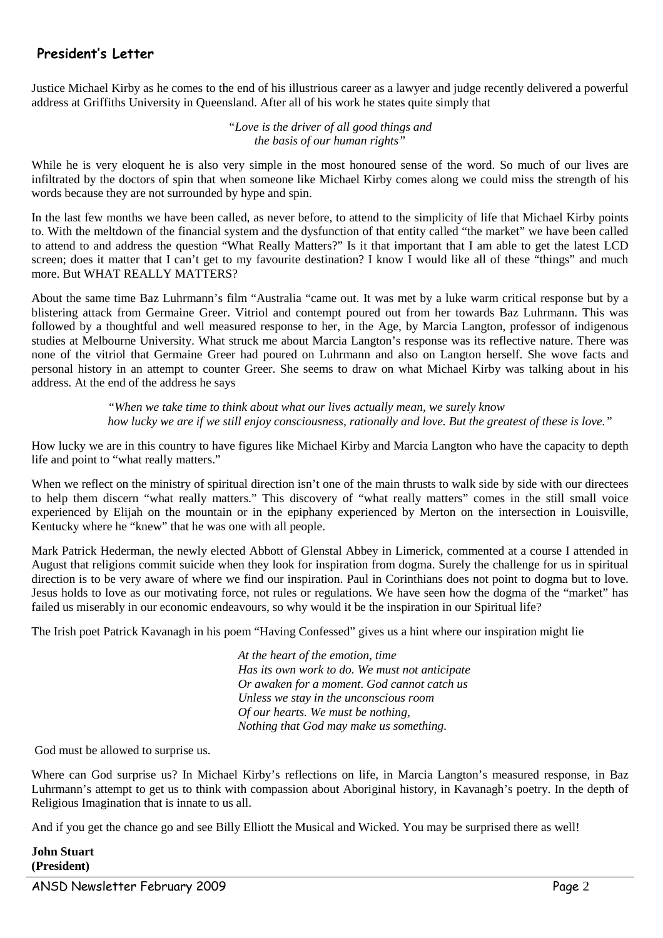## **President's Letter**

Justice Michael Kirby as he comes to the end of his illustrious career as a lawyer and judge recently delivered a powerful address at Griffiths University in Queensland. After all of his work he states quite simply that

> *"Love is the driver of all good things and the basis of our human rights"*

While he is very eloquent he is also very simple in the most honoured sense of the word. So much of our lives are infiltrated by the doctors of spin that when someone like Michael Kirby comes along we could miss the strength of his words because they are not surrounded by hype and spin.

In the last few months we have been called, as never before, to attend to the simplicity of life that Michael Kirby points to. With the meltdown of the financial system and the dysfunction of that entity called "the market" we have been called to attend to and address the question "What Really Matters?" Is it that important that I am able to get the latest LCD screen; does it matter that I can't get to my favourite destination? I know I would like all of these "things" and much more. But WHAT REALLY MATTERS?

About the same time Baz Luhrmann's film "Australia "came out. It was met by a luke warm critical response but by a blistering attack from Germaine Greer. Vitriol and contempt poured out from her towards Baz Luhrmann. This was followed by a thoughtful and well measured response to her, in the Age, by Marcia Langton, professor of indigenous studies at Melbourne University. What struck me about Marcia Langton's response was its reflective nature. There was none of the vitriol that Germaine Greer had poured on Luhrmann and also on Langton herself. She wove facts and personal history in an attempt to counter Greer. She seems to draw on what Michael Kirby was talking about in his address. At the end of the address he says

> *"When we take time to think about what our lives actually mean, we surely know how lucky we are if we still enjoy consciousness, rationally and love. But the greatest of these is love."*

How lucky we are in this country to have figures like Michael Kirby and Marcia Langton who have the capacity to depth life and point to "what really matters."

When we reflect on the ministry of spiritual direction isn't one of the main thrusts to walk side by side with our directees to help them discern "what really matters." This discovery of "what really matters" comes in the still small voice experienced by Elijah on the mountain or in the epiphany experienced by Merton on the intersection in Louisville, Kentucky where he "knew" that he was one with all people.

Mark Patrick Hederman, the newly elected Abbott of Glenstal Abbey in Limerick, commented at a course I attended in August that religions commit suicide when they look for inspiration from dogma. Surely the challenge for us in spiritual direction is to be very aware of where we find our inspiration. Paul in Corinthians does not point to dogma but to love. Jesus holds to love as our motivating force, not rules or regulations. We have seen how the dogma of the "market" has failed us miserably in our economic endeavours, so why would it be the inspiration in our Spiritual life?

The Irish poet Patrick Kavanagh in his poem "Having Confessed" gives us a hint where our inspiration might lie

*At the heart of the emotion, time Has its own work to do. We must not anticipate Or awaken for a moment. God cannot catch us Unless we stay in the unconscious room Of our hearts. We must be nothing, Nothing that God may make us something.* 

God must be allowed to surprise us.

Where can God surprise us? In Michael Kirby's reflections on life, in Marcia Langton's measured response, in Baz Luhrmann's attempt to get us to think with compassion about Aboriginal history, in Kavanagh's poetry. In the depth of Religious Imagination that is innate to us all.

And if you get the chance go and see Billy Elliott the Musical and Wicked. You may be surprised there as well!

#### **John Stuart (President)**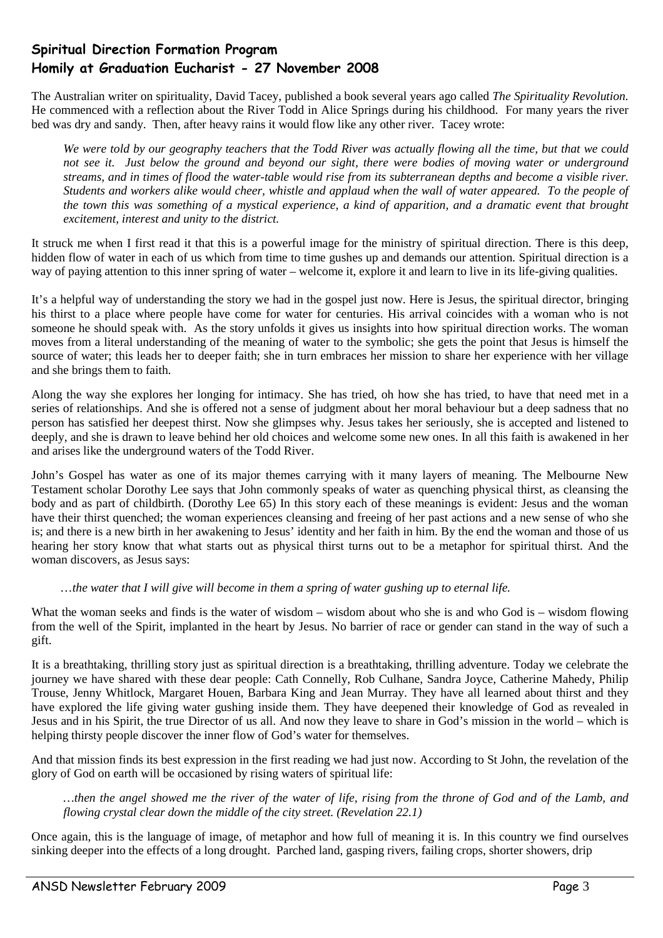## **Spiritual Direction Formation Program Homily at Graduation Eucharist - 27 November 2008**

The Australian writer on spirituality, David Tacey, published a book several years ago called *The Spirituality Revolution.*  He commenced with a reflection about the River Todd in Alice Springs during his childhood. For many years the river bed was dry and sandy. Then, after heavy rains it would flow like any other river. Tacey wrote:

*We were told by our geography teachers that the Todd River was actually flowing all the time, but that we could not see it. Just below the ground and beyond our sight, there were bodies of moving water or underground streams, and in times of flood the water-table would rise from its subterranean depths and become a visible river. Students and workers alike would cheer, whistle and applaud when the wall of water appeared. To the people of the town this was something of a mystical experience, a kind of apparition, and a dramatic event that brought excitement, interest and unity to the district.* 

It struck me when I first read it that this is a powerful image for the ministry of spiritual direction. There is this deep, hidden flow of water in each of us which from time to time gushes up and demands our attention. Spiritual direction is a way of paying attention to this inner spring of water – welcome it, explore it and learn to live in its life-giving qualities.

It's a helpful way of understanding the story we had in the gospel just now. Here is Jesus, the spiritual director, bringing his thirst to a place where people have come for water for centuries. His arrival coincides with a woman who is not someone he should speak with. As the story unfolds it gives us insights into how spiritual direction works. The woman moves from a literal understanding of the meaning of water to the symbolic; she gets the point that Jesus is himself the source of water; this leads her to deeper faith; she in turn embraces her mission to share her experience with her village and she brings them to faith.

Along the way she explores her longing for intimacy. She has tried, oh how she has tried, to have that need met in a series of relationships. And she is offered not a sense of judgment about her moral behaviour but a deep sadness that no person has satisfied her deepest thirst. Now she glimpses why. Jesus takes her seriously, she is accepted and listened to deeply, and she is drawn to leave behind her old choices and welcome some new ones. In all this faith is awakened in her and arises like the underground waters of the Todd River.

John's Gospel has water as one of its major themes carrying with it many layers of meaning. The Melbourne New Testament scholar Dorothy Lee says that John commonly speaks of water as quenching physical thirst, as cleansing the body and as part of childbirth. (Dorothy Lee 65) In this story each of these meanings is evident: Jesus and the woman have their thirst quenched; the woman experiences cleansing and freeing of her past actions and a new sense of who she is; and there is a new birth in her awakening to Jesus' identity and her faith in him. By the end the woman and those of us hearing her story know that what starts out as physical thirst turns out to be a metaphor for spiritual thirst. And the woman discovers, as Jesus says:

#### …*the water that I will give will become in them a spring of water gushing up to eternal life.*

What the woman seeks and finds is the water of wisdom – wisdom about who she is and who God is – wisdom flowing from the well of the Spirit, implanted in the heart by Jesus. No barrier of race or gender can stand in the way of such a gift.

It is a breathtaking, thrilling story just as spiritual direction is a breathtaking, thrilling adventure. Today we celebrate the journey we have shared with these dear people: Cath Connelly, Rob Culhane, Sandra Joyce, Catherine Mahedy, Philip Trouse, Jenny Whitlock, Margaret Houen, Barbara King and Jean Murray. They have all learned about thirst and they have explored the life giving water gushing inside them. They have deepened their knowledge of God as revealed in Jesus and in his Spirit, the true Director of us all. And now they leave to share in God's mission in the world – which is helping thirsty people discover the inner flow of God's water for themselves.

And that mission finds its best expression in the first reading we had just now. According to St John, the revelation of the glory of God on earth will be occasioned by rising waters of spiritual life:

*…then the angel showed me the river of the water of life, rising from the throne of God and of the Lamb, and flowing crystal clear down the middle of the city street. (Revelation 22.1)* 

Once again, this is the language of image, of metaphor and how full of meaning it is. In this country we find ourselves sinking deeper into the effects of a long drought. Parched land, gasping rivers, failing crops, shorter showers, drip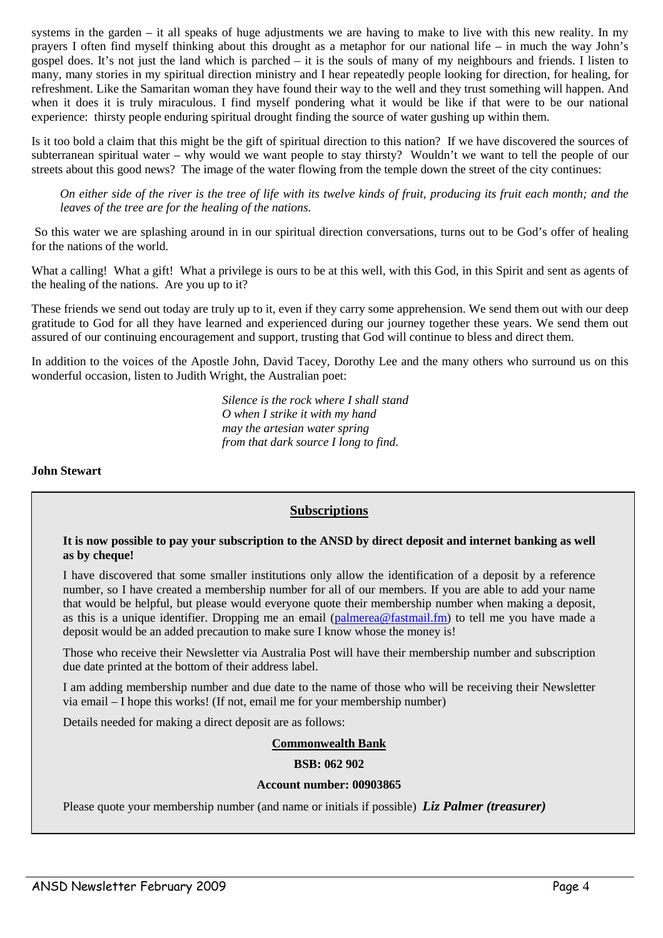systems in the garden – it all speaks of huge adjustments we are having to make to live with this new reality. In my prayers I often find myself thinking about this drought as a metaphor for our national life – in much the way John's gospel does. It's not just the land which is parched – it is the souls of many of my neighbours and friends. I listen to many, many stories in my spiritual direction ministry and I hear repeatedly people looking for direction, for healing, for refreshment. Like the Samaritan woman they have found their way to the well and they trust something will happen. And when it does it is truly miraculous. I find myself pondering what it would be like if that were to be our national experience: thirsty people enduring spiritual drought finding the source of water gushing up within them.

Is it too bold a claim that this might be the gift of spiritual direction to this nation? If we have discovered the sources of subterranean spiritual water – why would we want people to stay thirsty? Wouldn't we want to tell the people of our streets about this good news? The image of the water flowing from the temple down the street of the city continues:

*On either side of the river is the tree of life with its twelve kinds of fruit, producing its fruit each month; and the leaves of the tree are for the healing of the nations.* 

So this water we are splashing around in in our spiritual direction conversations, turns out to be God's offer of healing for the nations of the world.

What a calling! What a gift! What a privilege is ours to be at this well, with this God, in this Spirit and sent as agents of the healing of the nations. Are you up to it?

These friends we send out today are truly up to it, even if they carry some apprehension. We send them out with our deep gratitude to God for all they have learned and experienced during our journey together these years. We send them out assured of our continuing encouragement and support, trusting that God will continue to bless and direct them.

In addition to the voices of the Apostle John, David Tacey, Dorothy Lee and the many others who surround us on this wonderful occasion, listen to Judith Wright, the Australian poet:

> *Silence is the rock where I shall stand O when I strike it with my hand may the artesian water spring from that dark source I long to find.*

#### **John Stewart**

#### **Subscriptions**

#### **It is now possible to pay your subscription to the ANSD by direct deposit and internet banking as well as by cheque!**

I have discovered that some smaller institutions only allow the identification of a deposit by a reference number, so I have created a membership number for all of our members. If you are able to add your name that would be helpful, but please would everyone quote their membership number when making a deposit, as this is a unique identifier. Dropping me an email (palmerea@fastmail.fm) to tell me you have made a deposit would be an added precaution to make sure I know whose the money is!

Those who receive their Newsletter via Australia Post will have their membership number and subscription due date printed at the bottom of their address label.

I am adding membership number and due date to the name of those who will be receiving their Newsletter via email – I hope this works! (If not, email me for your membership number)

Details needed for making a direct deposit are as follows:

#### **Commonwealth Bank**

#### **BSB: 062 902**

#### **Account number: 00903865**

Please quote your membership number (and name or initials if possible) *Liz Palmer (treasurer)*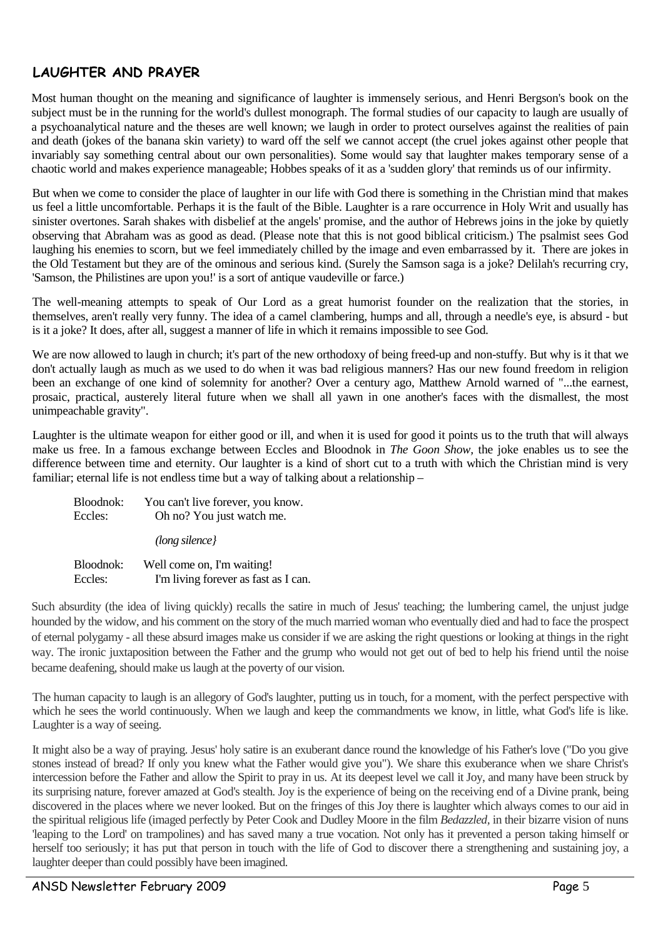## **LAUGHTER AND PRAYER**

Most human thought on the meaning and significance of laughter is immensely serious, and Henri Bergson's book on the subject must be in the running for the world's dullest monograph. The formal studies of our capacity to laugh are usually of a psychoanalytical nature and the theses are well known; we laugh in order to protect ourselves against the realities of pain and death (jokes of the banana skin variety) to ward off the self we cannot accept (the cruel jokes against other people that invariably say something central about our own personalities). Some would say that laughter makes temporary sense of a chaotic world and makes experience manageable; Hobbes speaks of it as a 'sudden glory' that reminds us of our infirmity.

But when we come to consider the place of laughter in our life with God there is something in the Christian mind that makes us feel a little uncomfortable. Perhaps it is the fault of the Bible. Laughter is a rare occurrence in Holy Writ and usually has sinister overtones. Sarah shakes with disbelief at the angels' promise, and the author of Hebrews joins in the joke by quietly observing that Abraham was as good as dead. (Please note that this is not good biblical criticism.) The psalmist sees God laughing his enemies to scorn, but we feel immediately chilled by the image and even embarrassed by it. There are jokes in the Old Testament but they are of the ominous and serious kind. (Surely the Samson saga is a joke? Delilah's recurring cry, 'Samson, the Philistines are upon you!' is a sort of antique vaudeville or farce.)

The well-meaning attempts to speak of Our Lord as a great humorist founder on the realization that the stories, in themselves, aren't really very funny. The idea of a camel clambering, humps and all, through a needle's eye, is absurd - but is it a joke? It does, after all, suggest a manner of life in which it remains impossible to see God.

We are now allowed to laugh in church; it's part of the new orthodoxy of being freed-up and non-stuffy. But why is it that we don't actually laugh as much as we used to do when it was bad religious manners? Has our new found freedom in religion been an exchange of one kind of solemnity for another? Over a century ago, Matthew Arnold warned of "...the earnest, prosaic, practical, austerely literal future when we shall all yawn in one another's faces with the dismallest, the most unimpeachable gravity".

Laughter is the ultimate weapon for either good or ill, and when it is used for good it points us to the truth that will always make us free. In a famous exchange between Eccles and Bloodnok in *The Goon Show,* the joke enables us to see the difference between time and eternity. Our laughter is a kind of short cut to a truth with which the Christian mind is very familiar; eternal life is not endless time but a way of talking about a relationship –

| Bloodnok:<br>Eccles: | You can't live forever, you know.<br>Oh no? You just watch me. |
|----------------------|----------------------------------------------------------------|
|                      | $long$ silence}                                                |
| Bloodnok:            | Well come on, I'm waiting!                                     |
| Eccles:              | I'm living forever as fast as I can.                           |

Such absurdity (the idea of living quickly) recalls the satire in much of Jesus' teaching; the lumbering camel, the unjust judge hounded by the widow, and his comment on the story of the much married woman who eventually died and had to face the prospect of eternal polygamy - all these absurd images make us consider if we are asking the right questions or looking at things in the right way. The ironic juxtaposition between the Father and the grump who would not get out of bed to help his friend until the noise became deafening, should make us laugh at the poverty of our vision.

The human capacity to laugh is an allegory of God's laughter, putting us in touch, for a moment, with the perfect perspective with which he sees the world continuously. When we laugh and keep the commandments we know, in little, what God's life is like. Laughter is a way of seeing.

It might also be a way of praying. Jesus' holy satire is an exuberant dance round the knowledge of his Father's love ("Do you give stones instead of bread? If only you knew what the Father would give you"). We share this exuberance when we share Christ's intercession before the Father and allow the Spirit to pray in us. At its deepest level we call it Joy, and many have been struck by its surprising nature, forever amazed at God's stealth. Joy is the experience of being on the receiving end of a Divine prank, being discovered in the places where we never looked. But on the fringes of this Joy there is laughter which always comes to our aid in the spiritual religious life (imaged perfectly by Peter Cook and Dudley Moore in the film *Bedazzled,* in their bizarre vision of nuns 'leaping to the Lord' on trampolines) and has saved many a true vocation. Not only has it prevented a person taking himself or herself too seriously; it has put that person in touch with the life of God to discover there a strengthening and sustaining joy, a laughter deeper than could possibly have been imagined.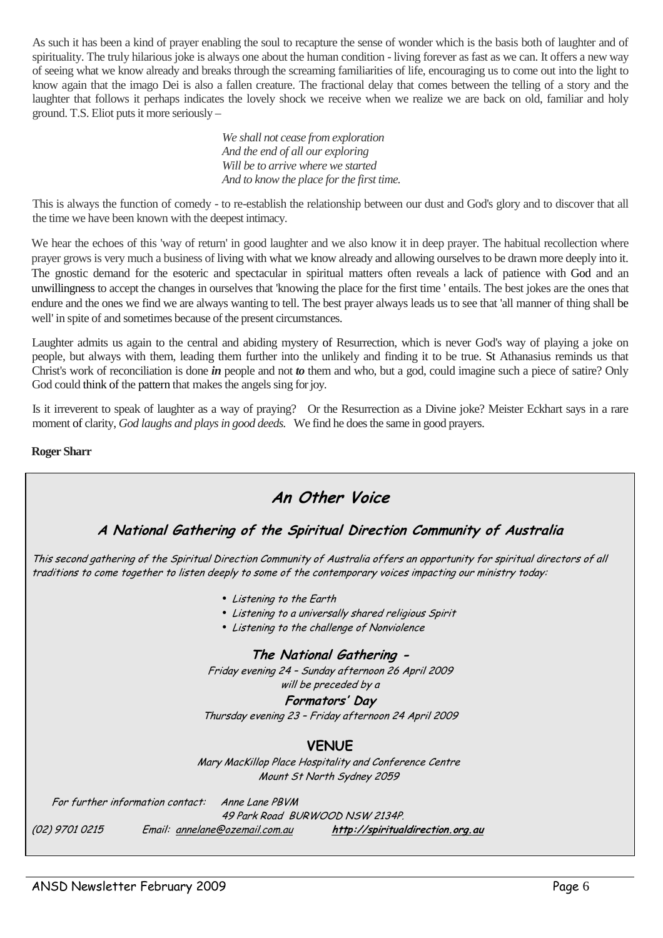As such it has been a kind of prayer enabling the soul to recapture the sense of wonder which is the basis both of laughter and of spirituality. The truly hilarious joke is always one about the human condition - living forever as fast as we can. It offers a new way of seeing what we know already and breaks through the screaming familiarities of life, encouraging us to come out into the light to know again that the imago Dei is also a fallen creature. The fractional delay that comes between the telling of a story and the laughter that follows it perhaps indicates the lovely shock we receive when we realize we are back on old, familiar and holy ground. T.S. Eliot puts it more seriously –

> *We shall not cease from exploration And the end of all our exploring Will be to arrive where we started And to know the place for the first time.*

This is always the function of comedy - to re-establish the relationship between our dust and God's glory and to discover that all the time we have been known with the deepest intimacy.

We hear the echoes of this 'way of return' in good laughter and we also know it in deep prayer. The habitual recollection where prayer grows is very much a business of living with what we know already and allowing ourselves to be drawn more deeply into it. The gnostic demand for the esoteric and spectacular in spiritual matters often reveals a lack of patience with God and an unwillingness to accept the changes in ourselves that 'knowing the place for the first time ' entails. The best jokes are the ones that endure and the ones we find we are always wanting to tell. The best prayer always leads us to see that 'all manner of thing shall be well' in spite of and sometimes because of the present circumstances.

Laughter admits us again to the central and abiding mystery of Resurrection, which is never God's way of playing a joke on people, but always with them, leading them further into the unlikely and finding it to be true. St Athanasius reminds us that Christ's work of reconciliation is done *in* people and not *to* them and who, but a god, could imagine such a piece of satire? Only God could think of the pattern that makes the angels sing for joy.

Is it irreverent to speak of laughter as a way of praying? Or the Resurrection as a Divine joke? Meister Eckhart says in a rare moment of clarity, *God laughs and plays in good deeds.* We find he does the same in good prayers.

#### **Roger Sharr**

## **An Other Voice A National Gathering of the Spiritual Direction Community of Australia**  This second gathering of the Spiritual Direction Community of Australia offers an opportunity for spiritual directors of all traditions to come together to listen deeply to some of the contemporary voices impacting our ministry today: • Listening to the Earth • Listening to a universally shared religious Spirit • Listening to the challenge of Nonviolence **The National Gathering -**  Friday evening 24 – Sunday afternoon 26 April 2009 will be preceded by a **Formators' Day** Thursday evening 23 – Friday afternoon 24 April 2009 **VENUE** Mary MacKillop Place Hospitality and Conference Centre Mount St North Sydney 2059 For further information contact: Anne Lane PBVM 49 Park Road BURWOOD NSW 2134P. (02) 9701 0215 Email: annelane@ozemail.com.au **http://spiritualdirection.org.au**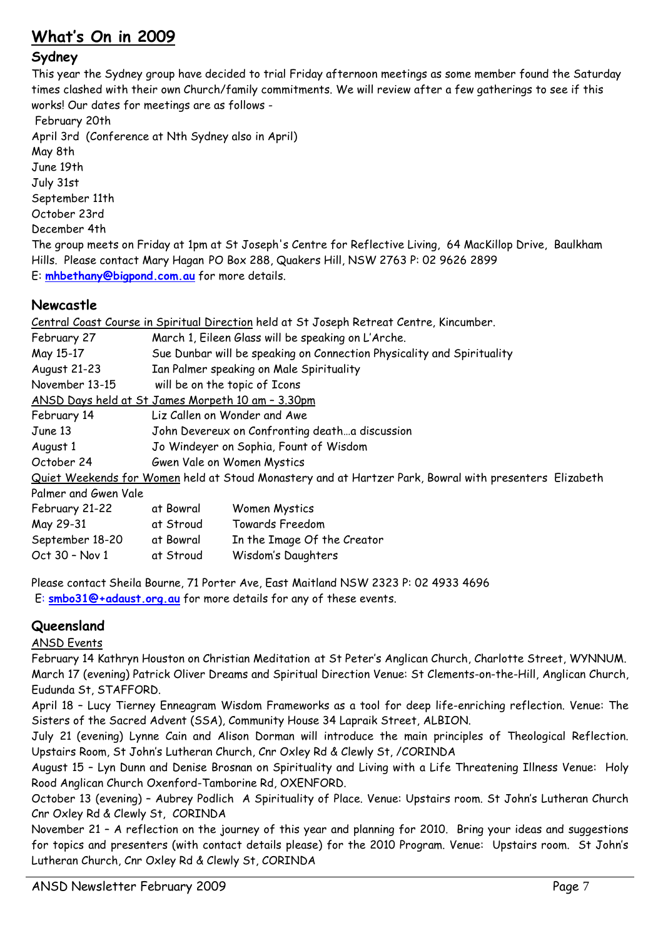## **What's On in 2009**

## **Sydney**

This year the Sydney group have decided to trial Friday afternoon meetings as some member found the Saturday times clashed with their own Church/family commitments. We will review after a few gatherings to see if this works! Our dates for meetings are as follows -

 February 20th April 3rd (Conference at Nth Sydney also in April) May 8th June 19th July 31st September 11th October 23rd December 4th The group meets on Friday at 1pm at St Joseph's Centre for Reflective Living, 64 MacKillop Drive, Baulkham Hills. Please contact Mary Hagan PO Box 288, Quakers Hill, NSW 2763 P: 02 9626 2899 E: **mhbethany@bigpond.com.au** for more details.

## **Newcastle**

|                                                   |                                                                        | Central Coast Course in Spiritual Direction held at St Joseph Retreat Centre, Kincumber.               |  |
|---------------------------------------------------|------------------------------------------------------------------------|--------------------------------------------------------------------------------------------------------|--|
| February 27                                       | March 1, Eileen Glass will be speaking on L'Arche.                     |                                                                                                        |  |
| May 15-17                                         | Sue Dunbar will be speaking on Connection Physicality and Spirituality |                                                                                                        |  |
| August 21-23                                      | Ian Palmer speaking on Male Spirituality                               |                                                                                                        |  |
| November 13-15                                    | will be on the topic of Icons                                          |                                                                                                        |  |
| ANSD Days held at St James Morpeth 10 am - 3.30pm |                                                                        |                                                                                                        |  |
| February 14                                       | Liz Callen on Wonder and Awe                                           |                                                                                                        |  |
| June 13                                           | John Devereux on Confronting deatha discussion                         |                                                                                                        |  |
| August 1                                          | Jo Windeyer on Sophia, Fount of Wisdom                                 |                                                                                                        |  |
| October 24                                        | Gwen Vale on Women Mystics                                             |                                                                                                        |  |
|                                                   |                                                                        | Quiet Weekends for Women held at Stoud Monastery and at Hartzer Park, Bowral with presenters Elizabeth |  |
| Palmer and Gwen Vale                              |                                                                        |                                                                                                        |  |
| February 21-22                                    | at Bowral                                                              | Women Mystics                                                                                          |  |
| May 29-31                                         | at Stroud                                                              | Towards Freedom                                                                                        |  |
| September 18-20                                   | at Bowral                                                              | In the Image Of the Creator                                                                            |  |
| Oct 30 - Nov 1                                    | at Stroud                                                              | Wisdom's Daughters                                                                                     |  |

Please contact Sheila Bourne, 71 Porter Ave, East Maitland NSW 2323 P: 02 4933 4696 E: **smbo31@+adaust.org.au** for more details for any of these events.

## **Queensland**

## ANSD Events

February 14 Kathryn Houston on Christian Meditation at St Peter's Anglican Church, Charlotte Street, WYNNUM. March 17 (evening) Patrick Oliver Dreams and Spiritual Direction Venue: St Clements-on-the-Hill, Anglican Church, Eudunda St, STAFFORD.

April 18 – Lucy Tierney Enneagram Wisdom Frameworks as a tool for deep life-enriching reflection. Venue: The Sisters of the Sacred Advent (SSA), Community House 34 Lapraik Street, ALBION.

July 21 (evening) Lynne Cain and Alison Dorman will introduce the main principles of Theological Reflection. Upstairs Room, St John's Lutheran Church, Cnr Oxley Rd & Clewly St, /CORINDA

August 15 – Lyn Dunn and Denise Brosnan on Spirituality and Living with a Life Threatening Illness Venue: Holy Rood Anglican Church Oxenford-Tamborine Rd, OXENFORD.

October 13 (evening) – Aubrey Podlich A Spirituality of Place. Venue: Upstairs room. St John's Lutheran Church Cnr Oxley Rd & Clewly St, CORINDA

November 21 – A reflection on the journey of this year and planning for 2010. Bring your ideas and suggestions for topics and presenters (with contact details please) for the 2010 Program. Venue: Upstairs room. St John's Lutheran Church, Cnr Oxley Rd & Clewly St, CORINDA